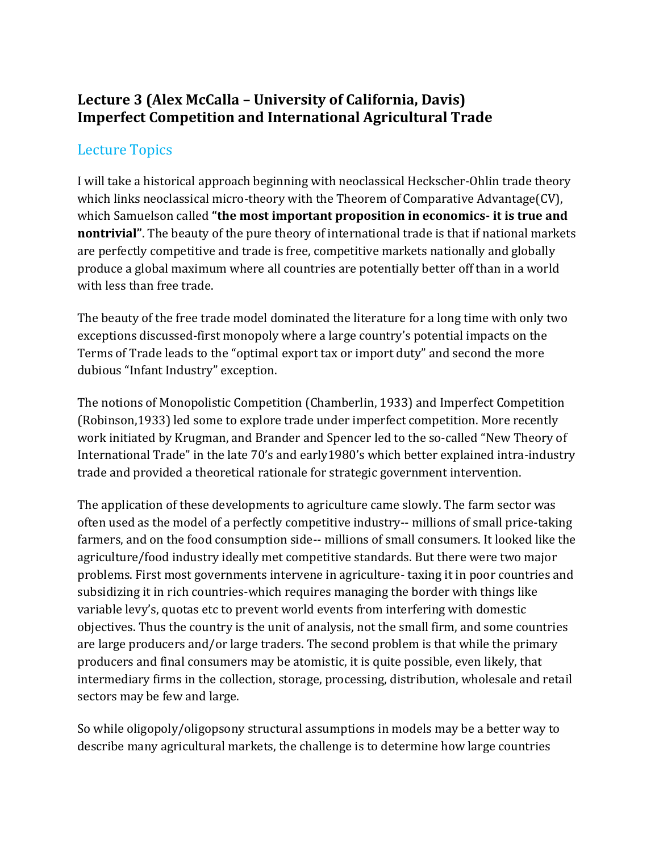## **Lecture 3 (Alex McCalla – University of California, Davis) Imperfect Competition and International Agricultural Trade**

## Lecture Topics

I will take a historical approach beginning with neoclassical Heckscher-Ohlin trade theory which links neoclassical micro-theory with the Theorem of Comparative Advantage(CV), which Samuelson called **"the most important proposition in economics- it is true and nontrivial"**. The beauty of the pure theory of international trade is that if national markets are perfectly competitive and trade is free, competitive markets nationally and globally produce a global maximum where all countries are potentially better off than in a world with less than free trade.

The beauty of the free trade model dominated the literature for a long time with only two exceptions discussed-first monopoly where a large country's potential impacts on the Terms of Trade leads to the "optimal export tax or import duty" and second the more dubious "Infant Industry" exception.

The notions of Monopolistic Competition (Chamberlin, 1933) and Imperfect Competition (Robinson,1933) led some to explore trade under imperfect competition. More recently work initiated by Krugman, and Brander and Spencer led to the so-called "New Theory of International Trade" in the late 70's and early1980's which better explained intra-industry trade and provided a theoretical rationale for strategic government intervention.

The application of these developments to agriculture came slowly. The farm sector was often used as the model of a perfectly competitive industry-- millions of small price-taking farmers, and on the food consumption side-- millions of small consumers. It looked like the agriculture/food industry ideally met competitive standards. But there were two major problems. First most governments intervene in agriculture- taxing it in poor countries and subsidizing it in rich countries-which requires managing the border with things like variable levy's, quotas etc to prevent world events from interfering with domestic objectives. Thus the country is the unit of analysis, not the small firm, and some countries are large producers and/or large traders. The second problem is that while the primary producers and final consumers may be atomistic, it is quite possible, even likely, that intermediary firms in the collection, storage, processing, distribution, wholesale and retail sectors may be few and large.

So while oligopoly/oligopsony structural assumptions in models may be a better way to describe many agricultural markets, the challenge is to determine how large countries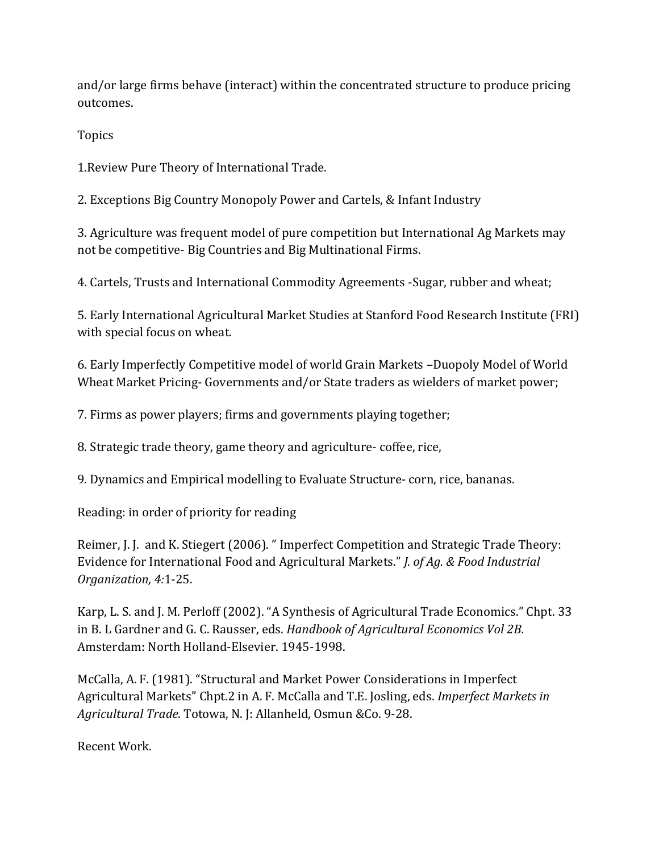and/or large firms behave (interact) within the concentrated structure to produce pricing outcomes.

Topics

1.Review Pure Theory of International Trade.

2. Exceptions Big Country Monopoly Power and Cartels, & Infant Industry

3. Agriculture was frequent model of pure competition but International Ag Markets may not be competitive- Big Countries and Big Multinational Firms.

4. Cartels, Trusts and International Commodity Agreements -Sugar, rubber and wheat;

5. Early International Agricultural Market Studies at Stanford Food Research Institute (FRI) with special focus on wheat.

6. Early Imperfectly Competitive model of world Grain Markets –Duopoly Model of World Wheat Market Pricing- Governments and/or State traders as wielders of market power;

7. Firms as power players; firms and governments playing together;

8. Strategic trade theory, game theory and agriculture- coffee, rice,

9. Dynamics and Empirical modelling to Evaluate Structure- corn, rice, bananas.

Reading: in order of priority for reading

Reimer, J. J. and K. Stiegert (2006). " Imperfect Competition and Strategic Trade Theory: Evidence for International Food and Agricultural Markets." *J. of Ag. & Food Industrial Organization, 4:*1-25.

Karp, L. S. and J. M. Perloff (2002). "A Synthesis of Agricultural Trade Economics." Chpt. 33 in B. L Gardner and G. C. Rausser, eds. *Handbook of Agricultural Economics Vol 2B.*  Amsterdam: North Holland-Elsevier. 1945-1998.

McCalla, A. F. (1981). "Structural and Market Power Considerations in Imperfect Agricultural Markets" Chpt.2 in A. F. McCalla and T.E. Josling, eds. *Imperfect Markets in Agricultural Trade.* Totowa, N. J: Allanheld, Osmun &Co. 9-28.

Recent Work.